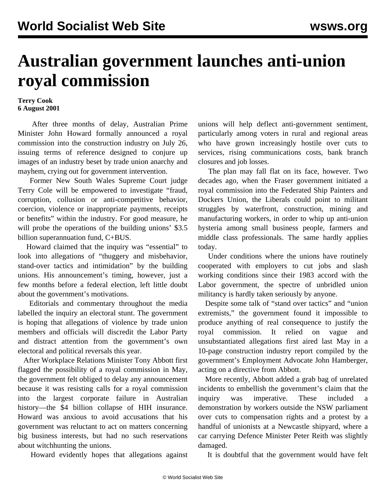## **Australian government launches anti-union royal commission**

## **Terry Cook 6 August 2001**

 After three months of delay, Australian Prime Minister John Howard formally announced a royal commission into the construction industry on July 26, issuing terms of reference designed to conjure up images of an industry beset by trade union anarchy and mayhem, crying out for government intervention.

 Former New South Wales Supreme Court judge Terry Cole will be empowered to investigate "fraud, corruption, collusion or anti-competitive behavior, coercion, violence or inappropriate payments, receipts or benefits" within the industry. For good measure, he will probe the operations of the building unions' \$3.5 billion superannuation fund, C+BUS.

 Howard claimed that the inquiry was "essential" to look into allegations of "thuggery and misbehavior, stand-over tactics and intimidation" by the building unions. His announcement's timing, however, just a few months before a federal election, left little doubt about the government's motivations.

 Editorials and commentary throughout the media labelled the inquiry an electoral stunt. The government is hoping that allegations of violence by trade union members and officials will discredit the Labor Party and distract attention from the government's own electoral and political reversals this year.

 After Workplace Relations Minister Tony Abbott first flagged the possibility of a royal commission in May, the government felt obliged to delay any announcement because it was resisting calls for a royal commission into the largest corporate failure in Australian history—the \$4 billion collapse of HIH insurance. Howard was anxious to avoid accusations that his government was reluctant to act on matters concerning big business interests, but had no such reservations about witchhunting the unions.

Howard evidently hopes that allegations against

unions will help deflect anti-government sentiment, particularly among voters in rural and regional areas who have grown increasingly hostile over cuts to services, rising communications costs, bank branch closures and job losses.

 The plan may fall flat on its face, however. Two decades ago, when the Fraser government initiated a royal commission into the Federated Ship Painters and Dockers Union, the Liberals could point to militant struggles by waterfront, construction, mining and manufacturing workers, in order to whip up anti-union hysteria among small business people, farmers and middle class professionals. The same hardly applies today.

 Under conditions where the unions have routinely cooperated with employers to cut jobs and slash working conditions since their 1983 accord with the Labor government, the spectre of unbridled union militancy is hardly taken seriously by anyone.

 Despite some talk of "stand over tactics" and "union extremists," the government found it impossible to produce anything of real consequence to justify the royal commission. It relied on vague and unsubstantiated allegations first aired last May in a 10-page construction industry report compiled by the government's Employment Advocate John Hamberger, acting on a directive from Abbott.

 More recently, Abbott added a grab bag of unrelated incidents to embellish the government's claim that the inquiry was imperative. These included a demonstration by workers outside the NSW parliament over cuts to compensation rights and a protest by a handful of unionists at a Newcastle shipyard, where a car carrying Defence Minister Peter Reith was slightly damaged.

It is doubtful that the government would have felt